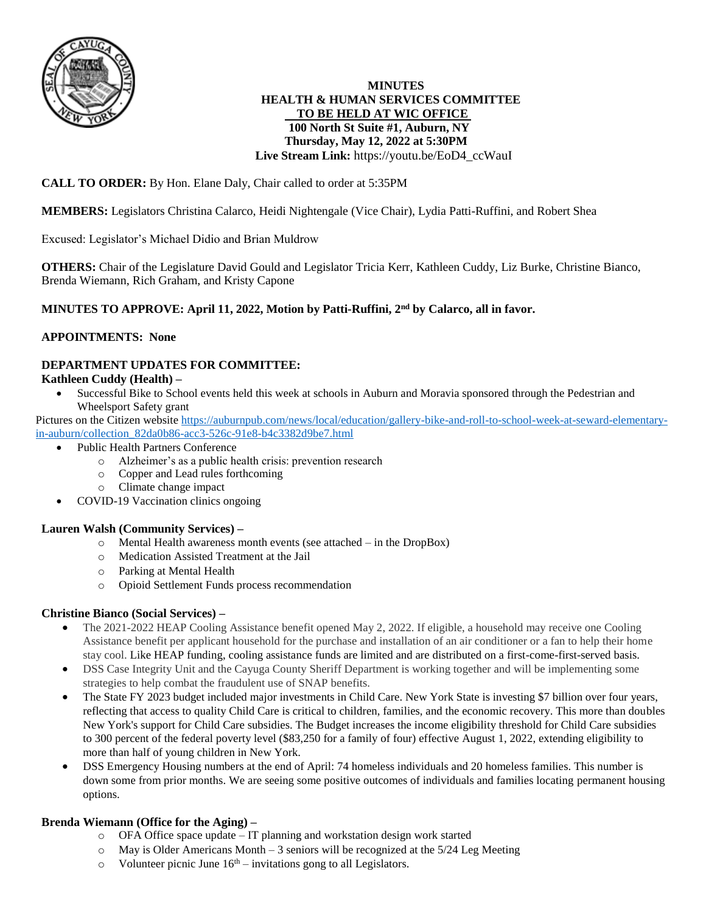

### **MINUTES HEALTH & HUMAN SERVICES COMMITTEE TO BE HELD AT WIC OFFICE 100 North St Suite #1, Auburn, NY Thursday, May 12, 2022 at 5:30PM Live Stream Link:** https://youtu.be/EoD4\_ccWauI

# **CALL TO ORDER:** By Hon. Elane Daly, Chair called to order at 5:35PM

**MEMBERS:** Legislators Christina Calarco, Heidi Nightengale (Vice Chair), Lydia Patti-Ruffini, and Robert Shea

Excused: Legislator's Michael Didio and Brian Muldrow

**OTHERS:** Chair of the Legislature David Gould and Legislator Tricia Kerr, Kathleen Cuddy, Liz Burke, Christine Bianco, Brenda Wiemann, Rich Graham, and Kristy Capone

# **MINUTES TO APPROVE: April 11, 2022, Motion by Patti-Ruffini, 2nd by Calarco, all in favor.**

## **APPOINTMENTS: None**

# **DEPARTMENT UPDATES FOR COMMITTEE:**

### **Kathleen Cuddy (Health) –**

 Successful Bike to School events held this week at schools in Auburn and Moravia sponsored through the Pedestrian and Wheelsport Safety grant

Pictures on the Citizen website [https://auburnpub.com/news/local/education/gallery-bike-and-roll-to-school-week-at-seward-elementary](https://auburnpub.com/news/local/education/gallery-bike-and-roll-to-school-week-at-seward-elementary-in-auburn/collection_82da0b86-acc3-526c-91e8-b4c3382d9be7.html)[in-auburn/collection\\_82da0b86-acc3-526c-91e8-b4c3382d9be7.html](https://auburnpub.com/news/local/education/gallery-bike-and-roll-to-school-week-at-seward-elementary-in-auburn/collection_82da0b86-acc3-526c-91e8-b4c3382d9be7.html)

- Public Health Partners Conference
	- o Alzheimer's as a public health crisis: prevention research
	- o Copper and Lead rules forthcoming
	- o Climate change impact
- COVID-19 Vaccination clinics ongoing

### **Lauren Walsh (Community Services) –**

- o Mental Health awareness month events (see attached in the DropBox)
- o Medication Assisted Treatment at the Jail
- o Parking at Mental Health
- o Opioid Settlement Funds process recommendation

### **Christine Bianco (Social Services) –**

- The 2021-2022 HEAP Cooling Assistance benefit opened May 2, 2022. If eligible, a household may receive one Cooling Assistance benefit per applicant household for the purchase and installation of an air conditioner or a fan to help their home stay cool. Like HEAP funding, cooling assistance funds are limited and are distributed on a first-come-first-served basis.
- DSS Case Integrity Unit and the Cayuga County Sheriff Department is working together and will be implementing some strategies to help combat the fraudulent use of SNAP benefits.
- The State FY 2023 budget included major investments in Child Care. New York State is investing \$7 billion over four years, reflecting that access to quality Child Care is critical to children, families, and the economic recovery. This more than doubles New York's support for Child Care subsidies. The Budget increases the income eligibility threshold for Child Care subsidies to 300 percent of the federal poverty level (\$83,250 for a family of four) effective August 1, 2022, extending eligibility to more than half of young children in New York.
- DSS Emergency Housing numbers at the end of April: 74 homeless individuals and 20 homeless families. This number is down some from prior months. We are seeing some positive outcomes of individuals and families locating permanent housing options.

## **Brenda Wiemann (Office for the Aging) –**

- o OFA Office space update IT planning and workstation design work started
- o May is Older Americans Month 3 seniors will be recognized at the 5/24 Leg Meeting
- $\circ$  Volunteer picnic June 16<sup>th</sup> invitations gong to all Legislators.